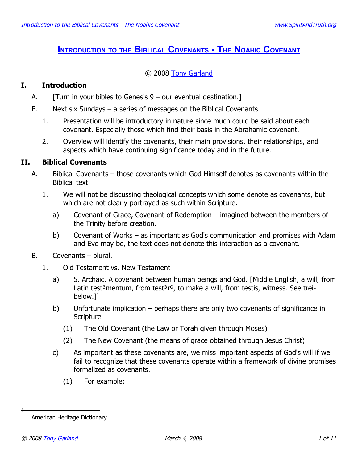# **I[NTRODUCTION](http://www.spiritandtruth.org/teaching/20.htm) TO THE BIBLICAL COVENANTS - THE NOAHIC COVENANT**

## © 2008 [Tony Garland](http://www.spiritandtruth.org/id/tg.htm)

## **I. Introduction**

- A.  $[Turn in your bibles to Genesis 9 our eventual destination.]$
- B. Next six Sundays a series of messages on the Biblical Covenants
	- 1. Presentation will be introductory in nature since much could be said about each covenant. Especially those which find their basis in the Abrahamic covenant.
	- 2. Overview will identify the covenants, their main provisions, their relationships, and aspects which have continuing significance today and in the future.

## **II. Biblical Covenants**

- A. Biblical Covenants those covenants which God Himself denotes as covenants within the Biblical text.
	- 1. We will not be discussing theological concepts which some denote as covenants, but which are not clearly portrayed as such within Scripture.
		- a) Covenant of Grace, Covenant of Redemption imagined between the members of the Trinity before creation.
		- b) Covenant of Works as important as God's communication and promises with Adam and Eve may be, the text does not denote this interaction as a covenant.
- B. Covenants plural.
	- 1. Old Testament vs. New Testament
		- a) 5. Archaic. A covenant between human beings and God. [Middle English, a will, from Latin test<sup>3</sup>mentum, from test<sup>3</sup>r<sup>o</sup>, to make a will, from testis, witness. See treibelow. $l^1$  $l^1$
		- b) Unfortunate implication perhaps there are only two covenants of significance in **Scripture** 
			- (1) The Old Covenant (the Law or Torah given through Moses)
			- (2) The New Covenant (the means of grace obtained through Jesus Christ)
		- c) As important as these covenants are, we miss important aspects of God's will if we fail to recognize that these covenants operate within a framework of divine promises formalized as covenants.
			- (1) For example:

<span id="page-0-0"></span>American Heritage Dictionary.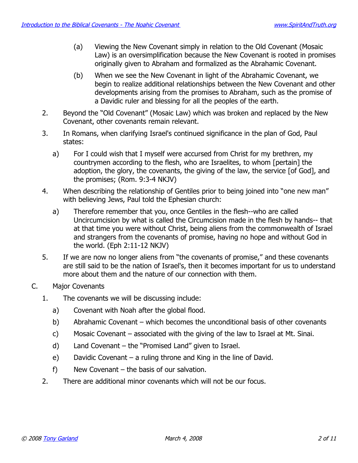- (a) Viewing the New Covenant simply in relation to the Old Covenant (Mosaic Law) is an oversimplification because the New Covenant is rooted in promises originally given to Abraham and formalized as the Abrahamic Covenant.
- (b) When we see the New Covenant in light of the Abrahamic Covenant, we begin to realize additional relationships between the New Covenant and other developments arising from the promises to Abraham, such as the promise of a Davidic ruler and blessing for all the peoples of the earth.
- 2. Beyond the "Old Covenant" (Mosaic Law) which was broken and replaced by the New Covenant, other covenants remain relevant.
- 3. In Romans, when clarifying Israel's continued significance in the plan of God, Paul states:
	- a) For I could wish that I myself were accursed from Christ for my brethren, my countrymen according to the flesh, who are Israelites, to whom [pertain] the adoption, the glory, the covenants, the giving of the law, the service [of God], and the promises; (Rom. 9:3-4 NKJV)
- 4. When describing the relationship of Gentiles prior to being joined into "one new man" with believing Jews, Paul told the Ephesian church:
	- a) Therefore remember that you, once Gentiles in the flesh--who are called Uncircumcision by what is called the Circumcision made in the flesh by hands-- that at that time you were without Christ, being aliens from the commonwealth of Israel and strangers from the covenants of promise, having no hope and without God in the world. (Eph 2:11-12 NKJV)
- 5. If we are now no longer aliens from "the covenants of promise," and these covenants are still said to be the nation of Israel's, then it becomes important for us to understand more about them and the nature of our connection with them.
- C. Major Covenants
	- 1. The covenants we will be discussing include:
		- a) Covenant with Noah after the global flood.
		- b) Abrahamic Covenant which becomes the unconditional basis of other covenants
		- c) Mosaic Covenant associated with the giving of the law to Israel at Mt. Sinai.
		- d) Land Covenant the "Promised Land" given to Israel.
		- e) Davidic Covenant a ruling throne and King in the line of David.
		- f) New Covenant the basis of our salvation.
	- 2. There are additional minor covenants which will not be our focus.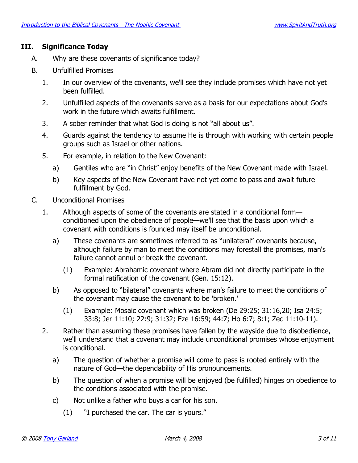#### **III. Significance Today**

- A. Why are these covenants of significance today?
- B. Unfulfilled Promises
	- 1. In our overview of the covenants, we'll see they include promises which have not yet been fulfilled.
	- 2. Unfulfilled aspects of the covenants serve as a basis for our expectations about God's work in the future which awaits fulfillment.
	- 3. A sober reminder that what God is doing is not "all about us".
	- 4. Guards against the tendency to assume He is through with working with certain people groups such as Israel or other nations.
	- 5. For example, in relation to the New Covenant:
		- a) Gentiles who are "in Christ" enjoy benefits of the New Covenant made with Israel.
		- b) Key aspects of the New Covenant have not yet come to pass and await future fulfillment by God.
- C. Unconditional Promises
	- 1. Although aspects of some of the covenants are stated in a conditional form conditioned upon the obedience of people—we'll see that the basis upon which a covenant with conditions is founded may itself be unconditional.
		- a) These covenants are sometimes referred to as "unilateral" covenants because, although failure by man to meet the conditions may forestall the promises, man's failure cannot annul or break the covenant.
			- (1) Example: Abrahamic covenant where Abram did not directly participate in the formal ratification of the covenant (Gen. 15:12).
		- b) As opposed to "bilateral" covenants where man's failure to meet the conditions of the covenant may cause the covenant to be 'broken.'
			- (1) Example: Mosaic covenant which was broken (De 29:25; 31:16,20; Isa 24:5; 33:8; Jer 11:10; 22:9; 31:32; Eze 16:59; 44:7; Ho 6:7; 8:1; Zec 11:10-11).
	- 2. Rather than assuming these promises have fallen by the wayside due to disobedience, we'll understand that a covenant may include unconditional promises whose enjoyment is conditional.
		- a) The question of whether a promise will come to pass is rooted entirely with the nature of God—the dependability of His pronouncements.
		- b) The question of when a promise will be enjoyed (be fulfilled) hinges on obedience to the conditions associated with the promise.
		- c) Not unlike a father who buys a car for his son.
			- (1) "I purchased the car. The car is yours."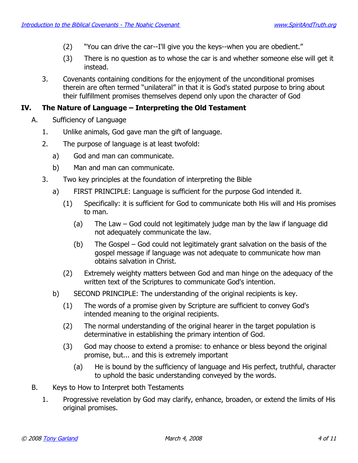- (2) "You can drive the car--I'll give you the keys--when you are obedient."
- (3) There is no question as to whose the car is and whether someone else will get it instead.
- 3. Covenants containing conditions for the enjoyment of the unconditional promises therein are often termed "unilateral" in that it is God's stated purpose to bring about their fulfillment promises themselves depend only upon the character of God

## **IV. The Nature of Language – Interpreting the Old Testament**

- A. Sufficiency of Language
	- 1. Unlike animals, God gave man the gift of language.
	- 2. The purpose of language is at least twofold:
		- a) God and man can communicate.
		- b) Man and man can communicate.
	- 3. Two key principles at the foundation of interpreting the Bible
		- a) FIRST PRINCIPLE: Language is sufficient for the purpose God intended it.
			- (1) Specifically: it is sufficient for God to communicate both His will and His promises to man.
				- (a) The Law God could not legitimately judge man by the law if language did not adequately communicate the law.
				- (b) The Gospel God could not legitimately grant salvation on the basis of the gospel message if language was not adequate to communicate how man obtains salvation in Christ.
			- (2) Extremely weighty matters between God and man hinge on the adequacy of the written text of the Scriptures to communicate God's intention.
		- b) SECOND PRINCIPLE: The understanding of the original recipients is key.
			- (1) The words of a promise given by Scripture are sufficient to convey God's intended meaning to the original recipients.
			- (2) The normal understanding of the original hearer in the target population is determinative in establishing the primary intention of God.
			- (3) God may choose to extend a promise: to enhance or bless beyond the original promise, but... and this is extremely important
				- (a) He is bound by the sufficiency of language and His perfect, truthful, character to uphold the basic understanding conveyed by the words.
- B. Keys to How to Interpret both Testaments
	- 1. Progressive revelation by God may clarify, enhance, broaden, or extend the limits of His original promises.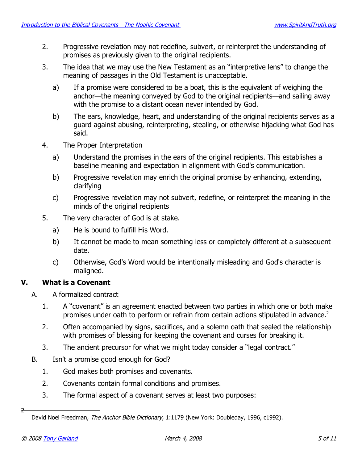- 2. Progressive revelation may not redefine, subvert, or reinterpret the understanding of promises as previously given to the original recipients.
- 3. The idea that we may use the New Testament as an "interpretive lens" to change the meaning of passages in the Old Testament is unacceptable.
	- a) If a promise were considered to be a boat, this is the equivalent of weighing the anchor—the meaning conveyed by God to the original recipients—and sailing away with the promise to a distant ocean never intended by God.
	- b) The ears, knowledge, heart, and understanding of the original recipients serves as a guard against abusing, reinterpreting, stealing, or otherwise hijacking what God has said.
- 4. The Proper Interpretation
	- a) Understand the promises in the ears of the original recipients. This establishes a baseline meaning and expectation in alignment with God's communication.
	- b) Progressive revelation may enrich the original promise by enhancing, extending, clarifying
	- c) Progressive revelation may not subvert, redefine, or reinterpret the meaning in the minds of the original recipients
- 5. The very character of God is at stake.
	- a) He is bound to fulfill His Word.
	- b) It cannot be made to mean something less or completely different at a subsequent date.
	- c) Otherwise, God's Word would be intentionally misleading and God's character is maligned.

## **V. What is a Covenant**

- A. A formalized contract
	- 1. A "covenant" is an agreement enacted between two parties in which one or both make promises under oath to perform or refrain from certain actions stipulated in advance.<sup>[2](#page-4-0)</sup>
	- 2. Often accompanied by signs, sacrifices, and a solemn oath that sealed the relationship with promises of blessing for keeping the covenant and curses for breaking it.
	- 3. The ancient precursor for what we might today consider a "legal contract."
- B. Isn't a promise good enough for God?
	- 1. God makes both promises and covenants.
	- 2. Covenants contain formal conditions and promises.
	- 3. The formal aspect of a covenant serves at least two purposes:

<span id="page-4-0"></span>David Noel Freedman, The Anchor Bible Dictionary, 1:1179 (New York: Doubleday, 1996, c1992).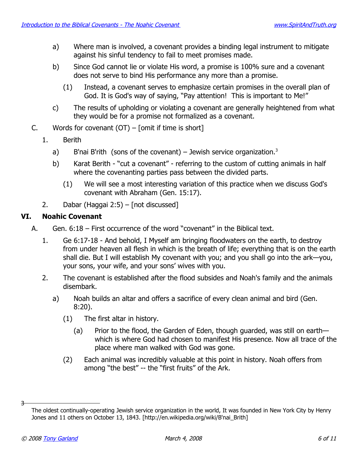- a) Where man is involved, a covenant provides a binding legal instrument to mitigate against his sinful tendency to fail to meet promises made.
- b) Since God cannot lie or violate His word, a promise is 100% sure and a covenant does not serve to bind His performance any more than a promise.
	- (1) Instead, a covenant serves to emphasize certain promises in the overall plan of God. It is God's way of saying, "Pay attention! This is important to Me!"
- c) The results of upholding or violating a covenant are generally heightened from what they would be for a promise not formalized as a covenant.
- C. Words for covenant  $(OT)$  [omit if time is short]
	- 1. Berith
		- a) B'nai B'rith (sons of the covenant) Jewish service organization.<sup>[3](#page-5-0)</sup>
		- b) Karat Berith "cut a covenant" referring to the custom of cutting animals in half where the covenanting parties pass between the divided parts.
			- (1) We will see a most interesting variation of this practice when we discuss God's covenant with Abraham (Gen. 15:17).
	- 2. Dabar (Haggai 2:5) [not discussed]

### **VI. Noahic Covenant**

- A. Gen. 6:18 First occurrence of the word "covenant" in the Biblical text.
	- 1. Ge 6:17-18 And behold, I Myself am bringing floodwaters on the earth, to destroy from under heaven all flesh in which is the breath of life; everything that is on the earth shall die. But I will establish My covenant with you; and you shall go into the ark—you, your sons, your wife, and your sons' wives with you.
	- 2. The covenant is established after the flood subsides and Noah's family and the animals disembark.
		- a) Noah builds an altar and offers a sacrifice of every clean animal and bird (Gen. 8:20).
			- (1) The first altar in history.
				- (a) Prior to the flood, the Garden of Eden, though guarded, was still on earth which is where God had chosen to manifest His presence. Now all trace of the place where man walked with God was gone.
			- (2) Each animal was incredibly valuable at this point in history. Noah offers from among "the best" -- the "first fruits" of the Ark.

<span id="page-5-0"></span>The oldest continually-operating Jewish service organization in the world, It was founded in New York City by Henry Jones and 11 others on October 13, 1843. [http://en.wikipedia.org/wiki/B'nai\_Brith]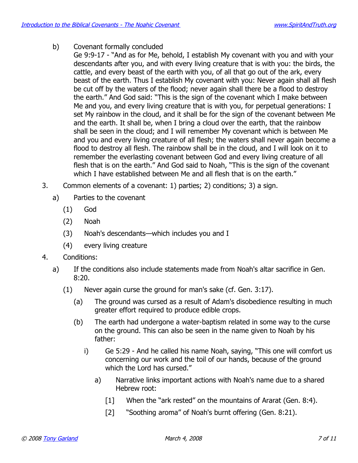b) Covenant formally concluded

Ge 9:9-17 - "And as for Me, behold, I establish My covenant with you and with your descendants after you, and with every living creature that is with you: the birds, the cattle, and every beast of the earth with you, of all that go out of the ark, every beast of the earth. Thus I establish My covenant with you: Never again shall all flesh be cut off by the waters of the flood; never again shall there be a flood to destroy the earth." And God said: "This is the sign of the covenant which I make between Me and you, and every living creature that is with you, for perpetual generations: I set My rainbow in the cloud, and it shall be for the sign of the covenant between Me and the earth. It shall be, when I bring a cloud over the earth, that the rainbow shall be seen in the cloud; and I will remember My covenant which is between Me and you and every living creature of all flesh; the waters shall never again become a flood to destroy all flesh. The rainbow shall be in the cloud, and I will look on it to remember the everlasting covenant between God and every living creature of all flesh that is on the earth." And God said to Noah, "This is the sign of the covenant which I have established between Me and all flesh that is on the earth."

- 3. Common elements of a covenant: 1) parties; 2) conditions; 3) a sign.
	- a) Parties to the covenant
		- (1) God
		- (2) Noah
		- (3) Noah's descendants—which includes you and I
		- (4) every living creature
- 4. Conditions:
	- a) If the conditions also include statements made from Noah's altar sacrifice in Gen. 8:20.
		- (1) Never again curse the ground for man's sake (cf. Gen. 3:17).
			- (a) The ground was cursed as a result of Adam's disobedience resulting in much greater effort required to produce edible crops.
			- (b) The earth had undergone a water-baptism related in some way to the curse on the ground. This can also be seen in the name given to Noah by his father:
				- i) Ge 5:29 And he called his name Noah, saying, "This one will comfort us concerning our work and the toil of our hands, because of the ground which the Lord has cursed."
					- a) Narrative links important actions with Noah's name due to a shared Hebrew root:
						- [1] When the "ark rested" on the mountains of Ararat (Gen. 8:4).
						- [2] "Soothing aroma" of Noah's burnt offering (Gen. 8:21).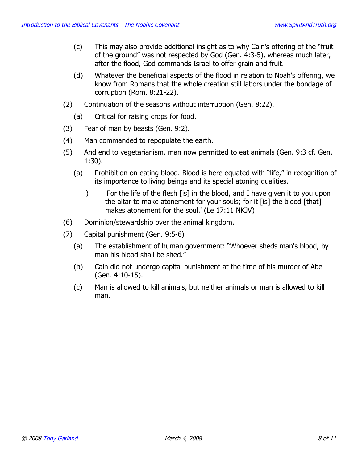- (c) This may also provide additional insight as to why Cain's offering of the "fruit of the ground" was not respected by God (Gen. 4:3-5), whereas much later, after the flood, God commands Israel to offer grain and fruit.
- (d) Whatever the beneficial aspects of the flood in relation to Noah's offering, we know from Romans that the whole creation still labors under the bondage of corruption (Rom. 8:21-22).
- (2) Continuation of the seasons without interruption (Gen. 8:22).
	- (a) Critical for raising crops for food.
- (3) Fear of man by beasts (Gen. 9:2).
- (4) Man commanded to repopulate the earth.
- (5) And end to vegetarianism, man now permitted to eat animals (Gen. 9:3 cf. Gen. 1:30).
	- (a) Prohibition on eating blood. Blood is here equated with "life," in recognition of its importance to living beings and its special atoning qualities.
		- i) 'For the life of the flesh [is] in the blood, and I have given it to you upon the altar to make atonement for your souls; for it [is] the blood [that] makes atonement for the soul.' (Le 17:11 NKJV)
- (6) Dominion/stewardship over the animal kingdom.
- (7) Capital punishment (Gen. 9:5-6)
	- (a) The establishment of human government: "Whoever sheds man's blood, by man his blood shall be shed."
	- (b) Cain did not undergo capital punishment at the time of his murder of Abel (Gen. 4:10-15).
	- (c) Man is allowed to kill animals, but neither animals or man is allowed to kill man.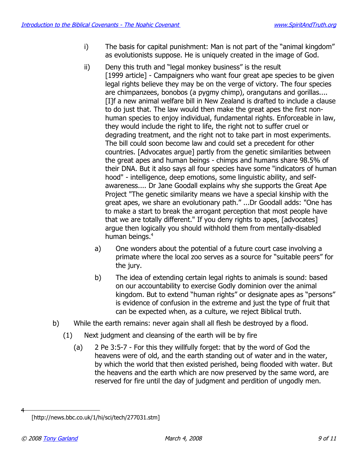- i) The basis for capital punishment: Man is not part of the "animal kingdom" as evolutionists suppose. He is uniquely created in the image of God.
- ii) Deny this truth and "legal monkey business" is the result [1999 article] - Campaigners who want four great ape species to be given legal rights believe they may be on the verge of victory. The four species are chimpanzees, bonobos (a pygmy chimp), orangutans and gorillas.... [I]f a new animal welfare bill in New Zealand is drafted to include a clause to do just that. The law would then make the great apes the first nonhuman species to enjoy individual, fundamental rights. Enforceable in law, they would include the right to life, the right not to suffer cruel or degrading treatment, and the right not to take part in most experiments. The bill could soon become law and could set a precedent for other countries. [Advocates argue] partly from the genetic similarities between the great apes and human beings - chimps and humans share 98.5% of their DNA. But it also says all four species have some "indicators of human hood" - intelligence, deep emotions, some linguistic ability, and selfawareness.... Dr Jane Goodall explains why she supports the Great Ape Project "The genetic similarity means we have a special kinship with the great apes, we share an evolutionary path." ...Dr Goodall adds: "One has to make a start to break the arrogant perception that most people have that we are totally different." If you deny rights to apes, [advocates] argue then logically you should withhold them from mentally-disabled human beings.<sup>[4](#page-8-0)</sup>
	- a) One wonders about the potential of a future court case involving a primate where the local zoo serves as a source for "suitable peers" for the jury.
	- b) The idea of extending certain legal rights to animals is sound: based on our accountability to exercise Godly dominion over the animal kingdom. But to extend "human rights" or designate apes as "persons" is evidence of confusion in the extreme and just the type of fruit that can be expected when, as a culture, we reject Biblical truth.
- b) While the earth remains: never again shall all flesh be destroyed by a flood.
	- (1) Next judgment and cleansing of the earth will be by fire
		- (a) 2 Pe 3:5-7 For this they willfully forget: that by the word of God the heavens were of old, and the earth standing out of water and in the water, by which the world that then existed perished, being flooded with water. But the heavens and the earth which are now preserved by the same word, are reserved for fire until the day of judgment and perdition of ungodly men.

<span id="page-8-0"></span><sup>[</sup>http://news.bbc.co.uk/1/hi/sci/tech/277031.stm]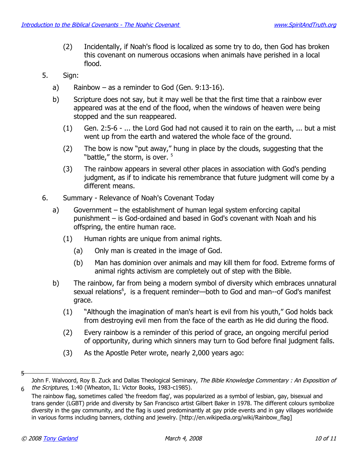- (2) Incidentally, if Noah's flood is localized as some try to do, then God has broken this covenant on numerous occasions when animals have perished in a local flood.
- 5. Sign:
	- a) Rainbow as a reminder to God (Gen.  $9:13-16$ ).
	- b) Scripture does not say, but it may well be that the first time that a rainbow ever appeared was at the end of the flood, when the windows of heaven were being stopped and the sun reappeared.
		- (1) Gen. 2:5-6 ... the Lord God had not caused it to rain on the earth, ... but a mist went up from the earth and watered the whole face of the ground.
		- (2) The bow is now "put away," hung in place by the clouds, suggesting that the "battle," the storm, is over. <sup>[5](#page-9-0)</sup>
		- (3) The rainbow appears in several other places in association with God's pending judgment, as if to indicate his remembrance that future judgment will come by a different means.
- 6. Summary Relevance of Noah's Covenant Today
	- a) Government the establishment of human legal system enforcing capital punishment – is God-ordained and based in God's covenant with Noah and his offspring, the entire human race.
		- (1) Human rights are unique from animal rights.
			- (a) Only man is created in the image of God.
			- (b) Man has dominion over animals and may kill them for food. Extreme forms of animal rights activism are completely out of step with the Bible.
	- b) The rainbow, far from being a modern symbol of diversity which embraces unnatural sexual relations<sup>[6](#page-9-1)</sup>, is a frequent reminder—both to God and man--of God's manifest grace.
		- (1) "Although the imagination of man's heart is evil from his youth," God holds back from destroying evil men from the face of the earth as He did during the flood.
		- (2) Every rainbow is a reminder of this period of grace, an ongoing merciful period of opportunity, during which sinners may turn to God before final judgment falls.
		- (3) As the Apostle Peter wrote, nearly 2,000 years ago:

<span id="page-9-0"></span>John F. Walvoord, Roy B. Zuck and Dallas Theological Seminary, The Bible Knowledge Commentary : An Exposition of 6 the Scriptures, 1:40 (Wheaton, IL: Victor Books, 1983-c1985).

<span id="page-9-1"></span>The rainbow flag, sometimes called 'the freedom flag', was popularized as a symbol of lesbian, gay, bisexual and trans gender (LGBT) pride and diversity by San Francisco artist Gilbert Baker in 1978. The different colours symbolize diversity in the gay community, and the flag is used predominantly at gay pride events and in gay villages worldwide in various forms including banners, clothing and jewelry. [http://en.wikipedia.org/wiki/Rainbow\_flag]